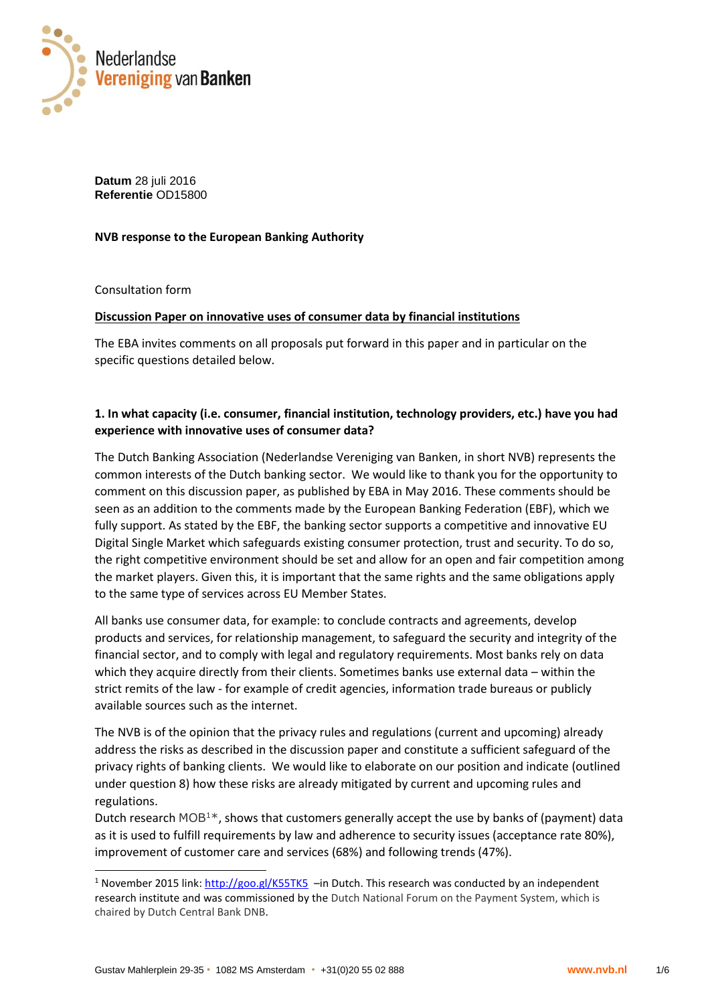

**Datum** 28 juli 2016 **Referentie** OD15800

**NVB response to the European Banking Authority** 

Consultation form

-

#### **Discussion Paper on innovative uses of consumer data by financial institutions**

The EBA invites comments on all proposals put forward in this paper and in particular on the specific questions detailed below.

### **1. In what capacity (i.e. consumer, financial institution, technology providers, etc.) have you had experience with innovative uses of consumer data?**

The Dutch Banking Association (Nederlandse Vereniging van Banken, in short NVB) represents the common interests of the Dutch banking sector. We would like to thank you for the opportunity to comment on this discussion paper, as published by EBA in May 2016. These comments should be seen as an addition to the comments made by the European Banking Federation (EBF), which we fully support. As stated by the EBF, the banking sector supports a competitive and innovative EU Digital Single Market which safeguards existing consumer protection, trust and security. To do so, the right competitive environment should be set and allow for an open and fair competition among the market players. Given this, it is important that the same rights and the same obligations apply to the same type of services across EU Member States.

All banks use consumer data, for example: to conclude contracts and agreements, develop products and services, for relationship management, to safeguard the security and integrity of the financial sector, and to comply with legal and regulatory requirements. Most banks rely on data which they acquire directly from their clients. Sometimes banks use external data – within the strict remits of the law - for example of credit agencies, information trade bureaus or publicly available sources such as the internet.

The NVB is of the opinion that the privacy rules and regulations (current and upcoming) already address the risks as described in the discussion paper and constitute a sufficient safeguard of the privacy rights of banking clients. We would like to elaborate on our position and indicate (outlined under question 8) how these risks are already mitigated by current and upcoming rules and regulations.

Dutch research  $MOB^{1*}$ , shows that customers generally accept the use by banks of (payment) data as it is used to fulfill requirements by law and adherence to security issues (acceptance rate 80%), improvement of customer care and services (68%) and following trends (47%).

<sup>&</sup>lt;sup>1</sup> November 2015 link:<http://goo.gl/K55TK5>–in Dutch. This research was conducted by an independent research institute and was commissioned by the Dutch National Forum on the Payment System, which is chaired by Dutch Central Bank DNB.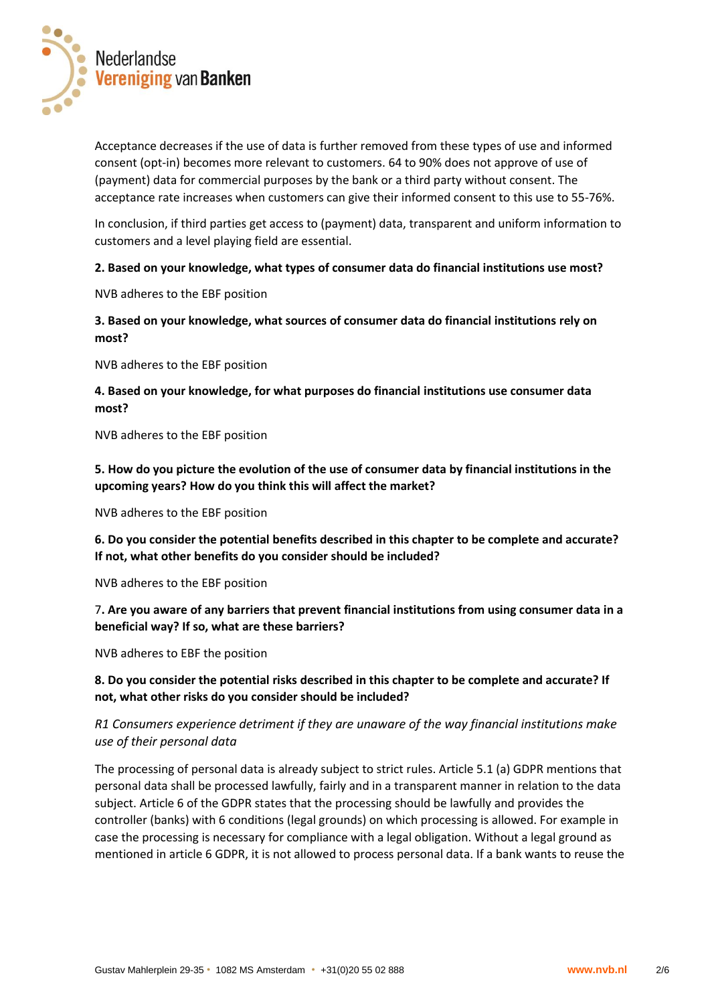

Acceptance decreases if the use of data is further removed from these types of use and informed consent (opt-in) becomes more relevant to customers. 64 to 90% does not approve of use of (payment) data for commercial purposes by the bank or a third party without consent. The acceptance rate increases when customers can give their informed consent to this use to 55-76%.

In conclusion, if third parties get access to (payment) data, transparent and uniform information to customers and a level playing field are essential.

#### **2. Based on your knowledge, what types of consumer data do financial institutions use most?**

NVB adheres to the EBF position

**3. Based on your knowledge, what sources of consumer data do financial institutions rely on most?** 

NVB adheres to the EBF position

**4. Based on your knowledge, for what purposes do financial institutions use consumer data most?** 

NVB adheres to the EBF position

**5. How do you picture the evolution of the use of consumer data by financial institutions in the upcoming years? How do you think this will affect the market?** 

NVB adheres to the EBF position

**6. Do you consider the potential benefits described in this chapter to be complete and accurate? If not, what other benefits do you consider should be included?** 

NVB adheres to the EBF position

7**. Are you aware of any barriers that prevent financial institutions from using consumer data in a beneficial way? If so, what are these barriers?** 

NVB adheres to EBF the position

**8. Do you consider the potential risks described in this chapter to be complete and accurate? If not, what other risks do you consider should be included?** 

## *R1 Consumers experience detriment if they are unaware of the way financial institutions make use of their personal data*

The processing of personal data is already subject to strict rules. Article 5.1 (a) GDPR mentions that personal data shall be processed lawfully, fairly and in a transparent manner in relation to the data subject. Article 6 of the GDPR states that the processing should be lawfully and provides the controller (banks) with 6 conditions (legal grounds) on which processing is allowed. For example in case the processing is necessary for compliance with a legal obligation. Without a legal ground as mentioned in article 6 GDPR, it is not allowed to process personal data. If a bank wants to reuse the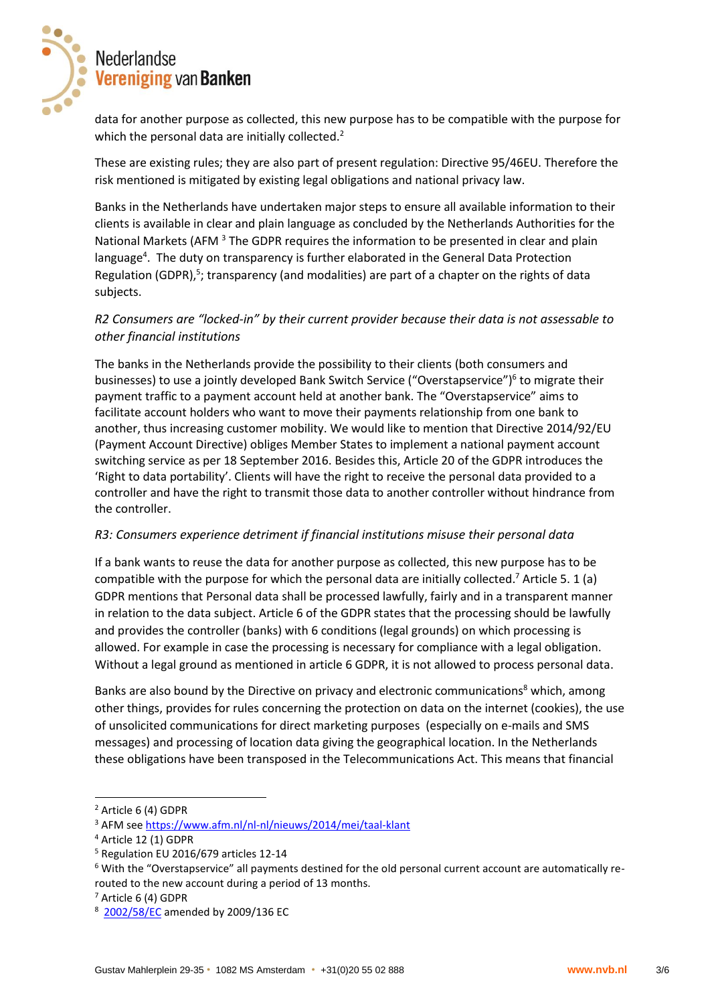

data for another purpose as collected, this new purpose has to be compatible with the purpose for which the personal data are initially collected.<sup>2</sup>

These are existing rules; they are also part of present regulation: Directive 95/46EU. Therefore the risk mentioned is mitigated by existing legal obligations and national privacy law.

Banks in the Netherlands have undertaken major steps to ensure all available information to their clients is available in clear and plain language as concluded by the Netherlands Authorities for the National Markets (AFM <sup>3</sup> The GDPR requires the information to be presented in clear and plain language<sup>4</sup>. The duty on transparency is further elaborated in the General Data Protection Regulation (GDPR),<sup>5</sup>; transparency (and modalities) are part of a chapter on the rights of data subjects.

## *R2 Consumers are "locked-in" by their current provider because their data is not assessable to other financial institutions*

The banks in the Netherlands provide the possibility to their clients (both consumers and businesses) to use a jointly developed Bank Switch Service ("Overstapservice")<sup>6</sup> to migrate their payment traffic to a payment account held at another bank. The "Overstapservice" aims to facilitate account holders who want to move their payments relationship from one bank to another, thus increasing customer mobility. We would like to mention that Directive 2014/92/EU (Payment Account Directive) obliges Member States to implement a national payment account switching service as per 18 September 2016. Besides this, Article 20 of the GDPR introduces the 'Right to data portability'. Clients will have the right to receive the personal data provided to a controller and have the right to transmit those data to another controller without hindrance from the controller.

### *R3: Consumers experience detriment if financial institutions misuse their personal data*

If a bank wants to reuse the data for another purpose as collected, this new purpose has to be compatible with the purpose for which the personal data are initially collected.<sup>7</sup> Article 5. 1 (a) GDPR mentions that Personal data shall be processed lawfully, fairly and in a transparent manner in relation to the data subject. Article 6 of the GDPR states that the processing should be lawfully and provides the controller (banks) with 6 conditions (legal grounds) on which processing is allowed. For example in case the processing is necessary for compliance with a legal obligation. Without a legal ground as mentioned in article 6 GDPR, it is not allowed to process personal data.

Banks are also bound by the Directive on privacy and electronic communications<sup>8</sup> which, among other things, provides for rules concerning the protection on data on the internet (cookies), the use of unsolicited communications for direct marketing purposes (especially on e-mails and SMS messages) and processing of location data giving the geographical location. In the Netherlands these obligations have been transposed in the Telecommunications Act. This means that financial

<sup>2</sup> Article 6 (4) GDPR

<sup>3</sup> AFM see<https://www.afm.nl/nl-nl/nieuws/2014/mei/taal-klant>

<sup>4</sup> Article 12 (1) GDPR

<sup>5</sup> Regulation EU 2016/679 articles 12-14

<sup>6</sup> With the "Overstapservice" all payments destined for the old personal current account are automatically rerouted to the new account during a period of 13 months.

<sup>7</sup> Article 6 (4) GDPR

<sup>&</sup>lt;sup>8</sup> [2002/58/EC](http://eur-lex.europa.eu/legal-content/EN/AUTO/?uri=celex:32002L0058) amended by 2009/136 EC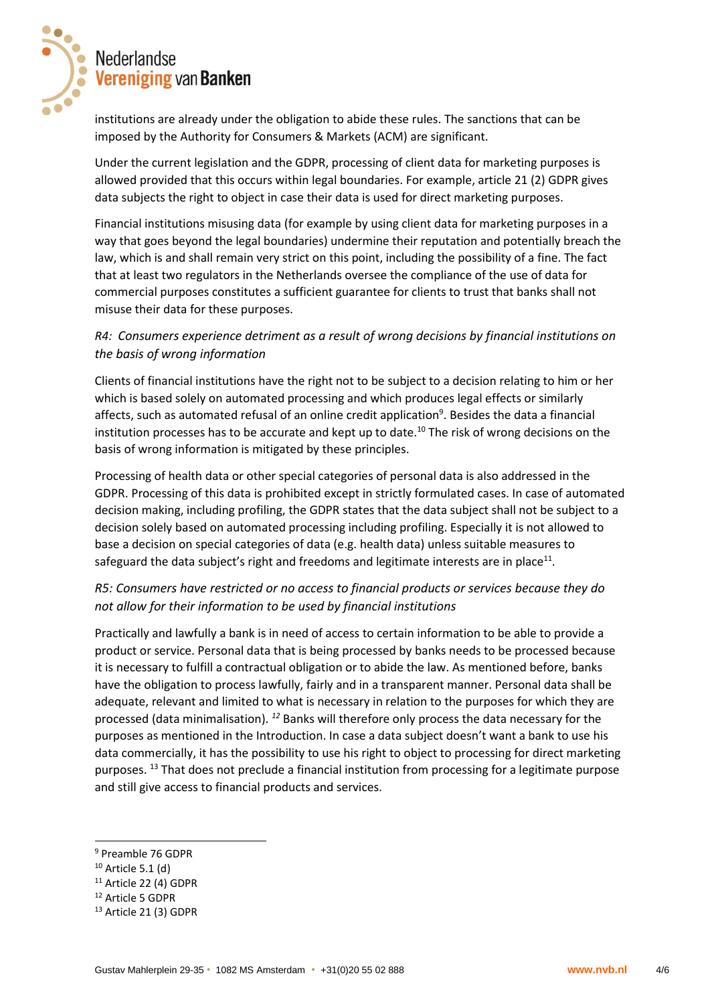

institutions are already under the obligation to abide these rules. The sanctions that can be imposed by the Authority for Consumers & Markets (ACM) are significant.

Under the current legislation and the GDPR, processing of client data for marketing purposes is allowed provided that this occurs within legal boundaries. For example, article 21 (2) GDPR gives data subjects the right to object in case their data is used for direct marketing purposes.

Financial institutions misusing data (for example by using client data for marketing purposes in a way that goes beyond the legal boundaries) undermine their reputation and potentially breach the law, which is and shall remain very strict on this point, including the possibility of a fine. The fact that at least two regulators in the Netherlands oversee the compliance of the use of data for commercial purposes constitutes a sufficient guarantee for clients to trust that banks shall not misuse their data for these purposes.

## *R4: Consumers experience detriment as a result of wrong decisions by financial institutions on the basis of wrong information*

Clients of financial institutions have the right not to be subject to a decision relating to him or her which is based solely on automated processing and which produces legal effects or similarly affects, such as automated refusal of an online credit application<sup>9</sup>. Besides the data a financial institution processes has to be accurate and kept up to date.<sup>10</sup> The risk of wrong decisions on the basis of wrong information is mitigated by these principles.

Processing of health data or other special categories of personal data is also addressed in the GDPR. Processing of this data is prohibited except in strictly formulated cases. In case of automated decision making, including profiling, the GDPR states that the data subject shall not be subject to a decision solely based on automated processing including profiling. Especially it is not allowed to base a decision on special categories of data (e.g. health data) unless suitable measures to safeguard the data subject's right and freedoms and legitimate interests are in place<sup>11</sup>.

## *R5: Consumers have restricted or no access to financial products or services because they do not allow for their information to be used by financial institutions*

Practically and lawfully a bank is in need of access to certain information to be able to provide a product or service. Personal data that is being processed by banks needs to be processed because it is necessary to fulfill a contractual obligation or to abide the law. As mentioned before, banks have the obligation to process lawfully, fairly and in a transparent manner. Personal data shall be adequate, relevant and limited to what is necessary in relation to the purposes for which they are processed (data minimalisation). *<sup>12</sup>* Banks will therefore only process the data necessary for the purposes as mentioned in the Introduction. In case a data subject doesn't want a bank to use his data commercially, it has the possibility to use his right to object to processing for direct marketing purposes. <sup>13</sup> That does not preclude a financial institution from processing for a legitimate purpose and still give access to financial products and services.

<sup>9</sup> Preamble 76 GDPR

 $10$  Article 5.1 (d)

<sup>&</sup>lt;sup>11</sup> Article 22 (4) GDPR

<sup>12</sup> Article 5 GDPR

<sup>13</sup> Article 21 (3) GDPR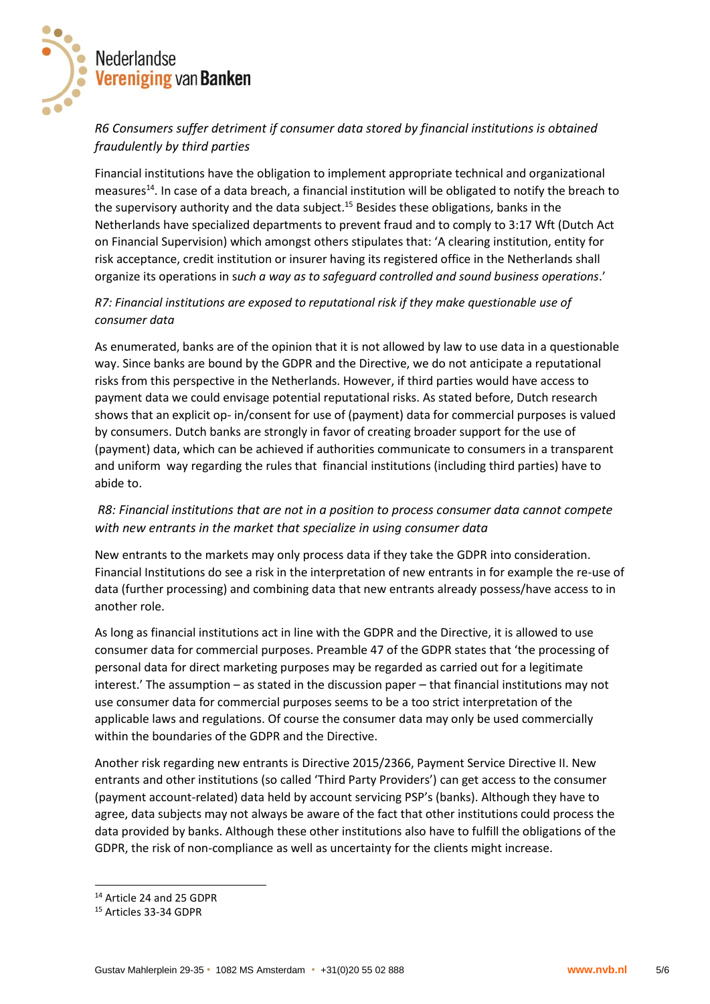

# *R6 Consumers suffer detriment if consumer data stored by financial institutions is obtained fraudulently by third parties*

Financial institutions have the obligation to implement appropriate technical and organizational measures<sup>14</sup>. In case of a data breach, a financial institution will be obligated to notify the breach to the supervisory authority and the data subject.<sup>15</sup> Besides these obligations, banks in the Netherlands have specialized departments to prevent fraud and to comply to 3:17 Wft (Dutch Act on Financial Supervision) which amongst others stipulates that: 'A clearing institution, entity for risk acceptance, credit institution or insurer having its registered office in the Netherlands shall organize its operations in s*uch a way as to safeguard controlled and sound business operations*.'

## *R7: Financial institutions are exposed to reputational risk if they make questionable use of consumer data*

As enumerated, banks are of the opinion that it is not allowed by law to use data in a questionable way. Since banks are bound by the GDPR and the Directive, we do not anticipate a reputational risks from this perspective in the Netherlands. However, if third parties would have access to payment data we could envisage potential reputational risks. As stated before, Dutch research shows that an explicit op- in/consent for use of (payment) data for commercial purposes is valued by consumers. Dutch banks are strongly in favor of creating broader support for the use of (payment) data, which can be achieved if authorities communicate to consumers in a transparent and uniform way regarding the rules that financial institutions (including third parties) have to abide to.

## *R8: Financial institutions that are not in a position to process consumer data cannot compete with new entrants in the market that specialize in using consumer data*

New entrants to the markets may only process data if they take the GDPR into consideration. Financial Institutions do see a risk in the interpretation of new entrants in for example the re-use of data (further processing) and combining data that new entrants already possess/have access to in another role.

As long as financial institutions act in line with the GDPR and the Directive, it is allowed to use consumer data for commercial purposes. Preamble 47 of the GDPR states that 'the processing of personal data for direct marketing purposes may be regarded as carried out for a legitimate interest.' The assumption – as stated in the discussion paper – that financial institutions may not use consumer data for commercial purposes seems to be a too strict interpretation of the applicable laws and regulations. Of course the consumer data may only be used commercially within the boundaries of the GDPR and the Directive.

Another risk regarding new entrants is Directive 2015/2366, Payment Service Directive II. New entrants and other institutions (so called 'Third Party Providers') can get access to the consumer (payment account-related) data held by account servicing PSP's (banks). Although they have to agree, data subjects may not always be aware of the fact that other institutions could process the data provided by banks. Although these other institutions also have to fulfill the obligations of the GDPR, the risk of non-compliance as well as uncertainty for the clients might increase.

<sup>14</sup> Article 24 and 25 GDPR

<sup>15</sup> Articles 33-34 GDPR